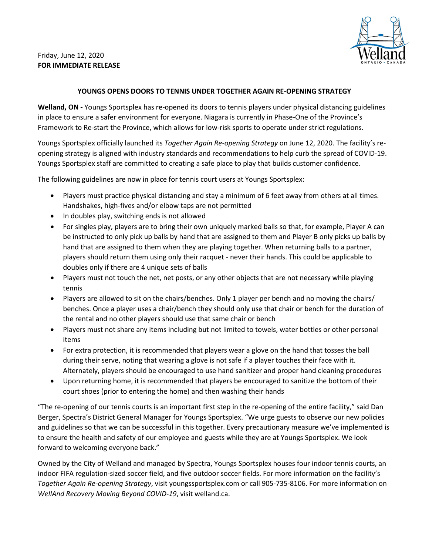

## Friday, June 12, 2020 **FOR IMMEDIATE RELEASE**

## **YOUNGS OPENS DOORS TO TENNIS UNDER TOGETHER AGAIN RE-OPENING STRATEGY**

**Welland, ON -** Youngs Sportsplex has re-opened its doors to tennis players under physical distancing guidelines in place to ensure a safer environment for everyone. Niagara is currently in Phase-One of the Province's Framework to Re-start the Province, which allows for low-risk sports to operate under strict regulations.

Youngs Sportsplex officially launched its *Together Again Re-opening Strategy* on June 12, 2020. The facility's reopening strategy is aligned with industry standards and recommendations to help curb the spread of COVID-19. Youngs Sportsplex staff are committed to creating a safe place to play that builds customer confidence.

The following guidelines are now in place for tennis court users at Youngs Sportsplex:

- Players must practice physical distancing and stay a minimum of 6 feet away from others at all times. Handshakes, high-fives and/or elbow taps are not permitted
- In doubles play, switching ends is not allowed
- For singles play, players are to bring their own uniquely marked balls so that, for example, Player A can be instructed to only pick up balls by hand that are assigned to them and Player B only picks up balls by hand that are assigned to them when they are playing together. When returning balls to a partner, players should return them using only their racquet - never their hands. This could be applicable to doubles only if there are 4 unique sets of balls
- Players must not touch the net, net posts, or any other objects that are not necessary while playing tennis
- Players are allowed to sit on the chairs/benches. Only 1 player per bench and no moving the chairs/ benches. Once a player uses a chair/bench they should only use that chair or bench for the duration of the rental and no other players should use that same chair or bench
- Players must not share any items including but not limited to towels, water bottles or other personal items
- For extra protection, it is recommended that players wear a glove on the hand that tosses the ball during their serve, noting that wearing a glove is not safe if a player touches their face with it. Alternately, players should be encouraged to use hand sanitizer and proper hand cleaning procedures
- Upon returning home, it is recommended that players be encouraged to sanitize the bottom of their court shoes (prior to entering the home) and then washing their hands

"The re-opening of our tennis courts is an important first step in the re-opening of the entire facility," said Dan Berger, Spectra's District General Manager for Youngs Sportsplex. "We urge guests to observe our new policies and guidelines so that we can be successful in this together. Every precautionary measure we've implemented is to ensure the health and safety of our employee and guests while they are at Youngs Sportsplex. We look forward to welcoming everyone back."

Owned by the City of Welland and managed by Spectra, Youngs Sportsplex houses four indoor tennis courts, an indoor FIFA regulation-sized soccer field, and five outdoor soccer fields. For more information on the facility's *Together Again Re-opening Strategy*, visit youngssportsplex.com or call 905-735-8106. For more information on *WellAnd Recovery Moving Beyond COVID-19*, visit welland.ca.